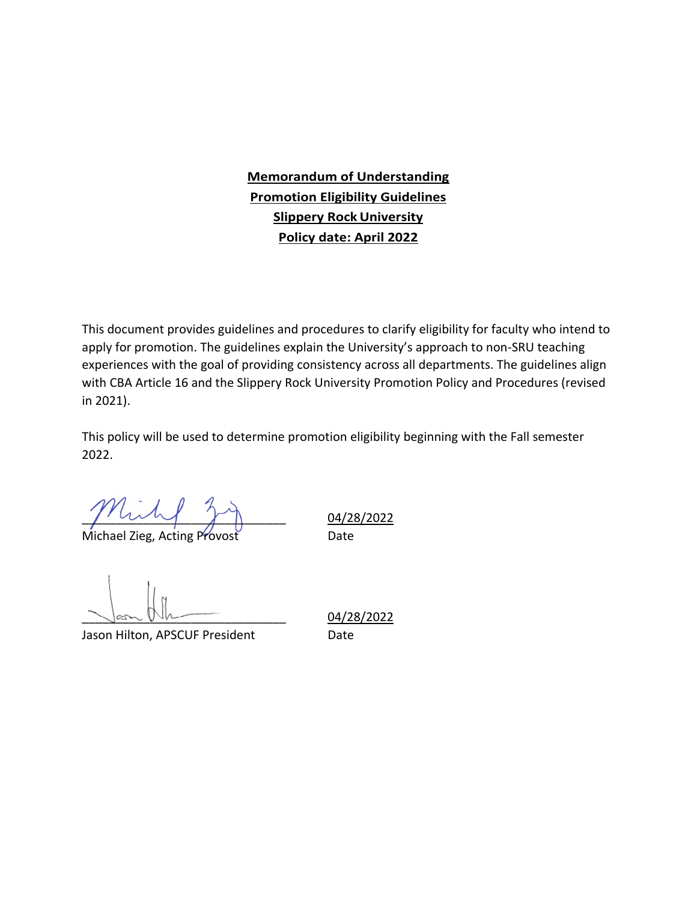### **Memorandum of Understanding Promotion Eligibility Guidelines Slippery RockUniversity Policy date: April 2022**

This document provides guidelines and procedures to clarify eligibility for faculty who intend to apply for promotion. The guidelines explain the University's approach to non-SRU teaching experiences with the goal of providing consistency across all departments. The guidelines align with CBA Article 16 and the Slippery Rock University Promotion Policy and Procedures (revised in 2021).

This policy will be used to determine promotion eligibility beginning with the Fall semester 2022.

 $\sqrt{2\pi\sqrt{2}}$   $\sqrt{2\sqrt{2}}$  04/28/2022

Michael Zieg, Acting Provost **Charles** Date

Jason Hilton, APSCUF President Date

\_\_\_\_\_\_\_\_\_\_\_\_\_\_\_\_\_\_\_\_\_\_\_\_\_\_\_\_\_\_ 04/28/2022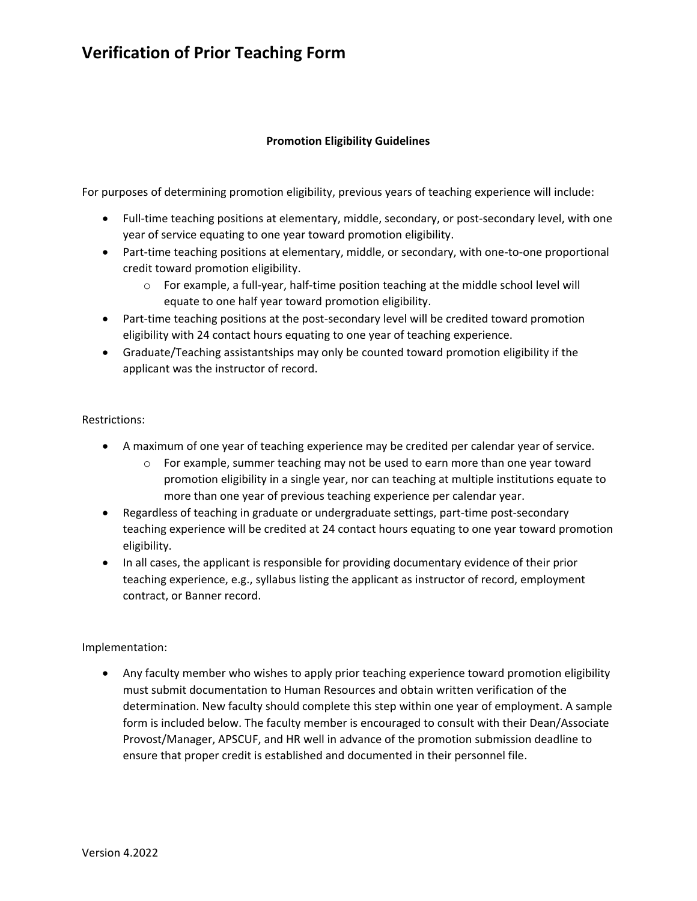### **Verification of Prior Teaching Form**

#### **Promotion Eligibility Guidelines**

For purposes of determining promotion eligibility, previous years of teaching experience will include:

- Full-time teaching positions at elementary, middle, secondary, or post-secondary level, with one year of service equating to one year toward promotion eligibility.
- Part-time teaching positions at elementary, middle, or secondary, with one-to-one proportional credit toward promotion eligibility.
	- $\circ$  For example, a full-year, half-time position teaching at the middle school level will equate to one half year toward promotion eligibility.
- Part-time teaching positions at the post-secondary level will be credited toward promotion eligibility with 24 contact hours equating to one year of teaching experience.
- Graduate/Teaching assistantships may only be counted toward promotion eligibility if the applicant was the instructor of record.

#### Restrictions:

- A maximum of one year of teaching experience may be credited per calendar year of service.
	- $\circ$  For example, summer teaching may not be used to earn more than one year toward promotion eligibility in a single year, nor can teaching at multiple institutions equate to more than one year of previous teaching experience per calendar year.
- Regardless of teaching in graduate or undergraduate settings, part-time post-secondary teaching experience will be credited at 24 contact hours equating to one year toward promotion eligibility.
- In all cases, the applicant is responsible for providing documentary evidence of their prior teaching experience, e.g., syllabus listing the applicant as instructor of record, employment contract, or Banner record.

#### Implementation:

• Any faculty member who wishes to apply prior teaching experience toward promotion eligibility must submit documentation to Human Resources and obtain written verification of the determination. New faculty should complete this step within one year of employment. A sample form is included below. The faculty member is encouraged to consult with their Dean/Associate Provost/Manager, APSCUF, and HR well in advance of the promotion submission deadline to ensure that proper credit is established and documented in their personnel file.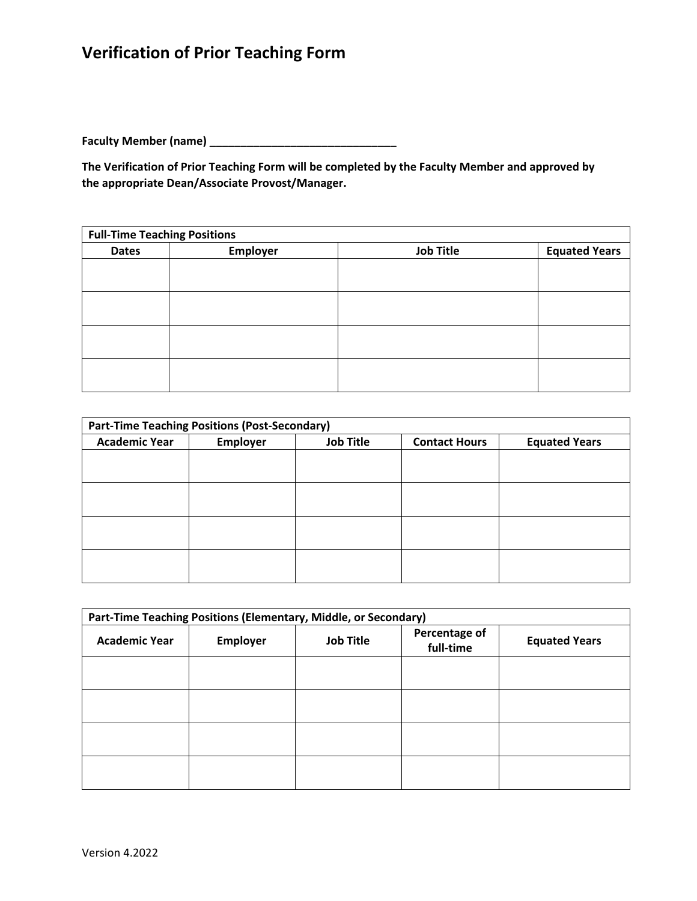# **Verification of Prior Teaching Form**

**Faculty Member (name) \_\_\_\_\_\_\_\_\_\_\_\_\_\_\_\_\_\_\_\_\_\_\_\_\_\_\_\_\_\_**

**The Verification of Prior Teaching Form will be completed by the Faculty Member and approved by the appropriate Dean/Associate Provost/Manager.** 

| <b>Full-Time Teaching Positions</b> |          |                  |                      |
|-------------------------------------|----------|------------------|----------------------|
| <b>Dates</b>                        | Employer | <b>Job Title</b> | <b>Equated Years</b> |
|                                     |          |                  |                      |
|                                     |          |                  |                      |
|                                     |          |                  |                      |
|                                     |          |                  |                      |
|                                     |          |                  |                      |
|                                     |          |                  |                      |
|                                     |          |                  |                      |
|                                     |          |                  |                      |

| <b>Part-Time Teaching Positions (Post-Secondary)</b> |          |                  |                      |                      |
|------------------------------------------------------|----------|------------------|----------------------|----------------------|
| <b>Academic Year</b>                                 | Employer | <b>Job Title</b> | <b>Contact Hours</b> | <b>Equated Years</b> |
|                                                      |          |                  |                      |                      |
|                                                      |          |                  |                      |                      |
|                                                      |          |                  |                      |                      |
|                                                      |          |                  |                      |                      |
|                                                      |          |                  |                      |                      |
|                                                      |          |                  |                      |                      |
|                                                      |          |                  |                      |                      |
|                                                      |          |                  |                      |                      |

| Part-Time Teaching Positions (Elementary, Middle, or Secondary) |                 |                  |                            |                      |
|-----------------------------------------------------------------|-----------------|------------------|----------------------------|----------------------|
| <b>Academic Year</b>                                            | <b>Employer</b> | <b>Job Title</b> | Percentage of<br>full-time | <b>Equated Years</b> |
|                                                                 |                 |                  |                            |                      |
|                                                                 |                 |                  |                            |                      |
|                                                                 |                 |                  |                            |                      |
|                                                                 |                 |                  |                            |                      |